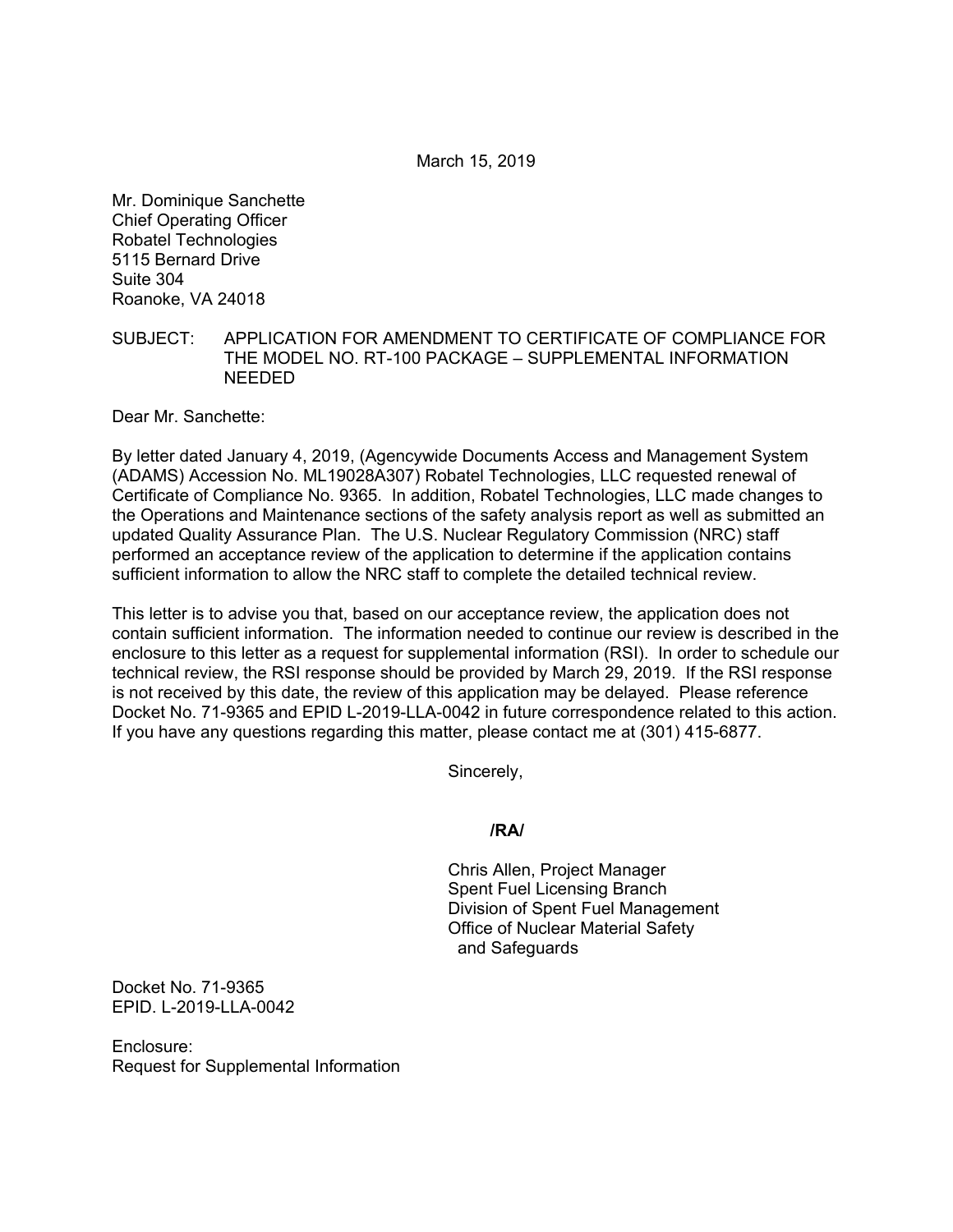March 15, 2019

Mr. Dominique Sanchette Chief Operating Officer Robatel Technologies 5115 Bernard Drive Suite 304 Roanoke, VA 24018

## SUBJECT: APPLICATION FOR AMENDMENT TO CERTIFICATE OF COMPLIANCE FOR THE MODEL NO. RT-100 PACKAGE – SUPPLEMENTAL INFORMATION NEEDED

Dear Mr. Sanchette:

By letter dated January 4, 2019, (Agencywide Documents Access and Management System (ADAMS) Accession No. ML19028A307) Robatel Technologies, LLC requested renewal of Certificate of Compliance No. 9365. In addition, Robatel Technologies, LLC made changes to the Operations and Maintenance sections of the safety analysis report as well as submitted an updated Quality Assurance Plan. The U.S. Nuclear Regulatory Commission (NRC) staff performed an acceptance review of the application to determine if the application contains sufficient information to allow the NRC staff to complete the detailed technical review.

This letter is to advise you that, based on our acceptance review, the application does not contain sufficient information. The information needed to continue our review is described in the enclosure to this letter as a request for supplemental information (RSI). In order to schedule our technical review, the RSI response should be provided by March 29, 2019. If the RSI response is not received by this date, the review of this application may be delayed. Please reference Docket No. 71-9365 and EPID L-2019-LLA-0042 in future correspondence related to this action. If you have any questions regarding this matter, please contact me at (301) 415-6877.

Sincerely,

## **/RA/**

Chris Allen, Project Manager Spent Fuel Licensing Branch Division of Spent Fuel Management Office of Nuclear Material Safety and Safeguards

Docket No. 71-9365 EPID. L-2019-LLA-0042

Enclosure: Request for Supplemental Information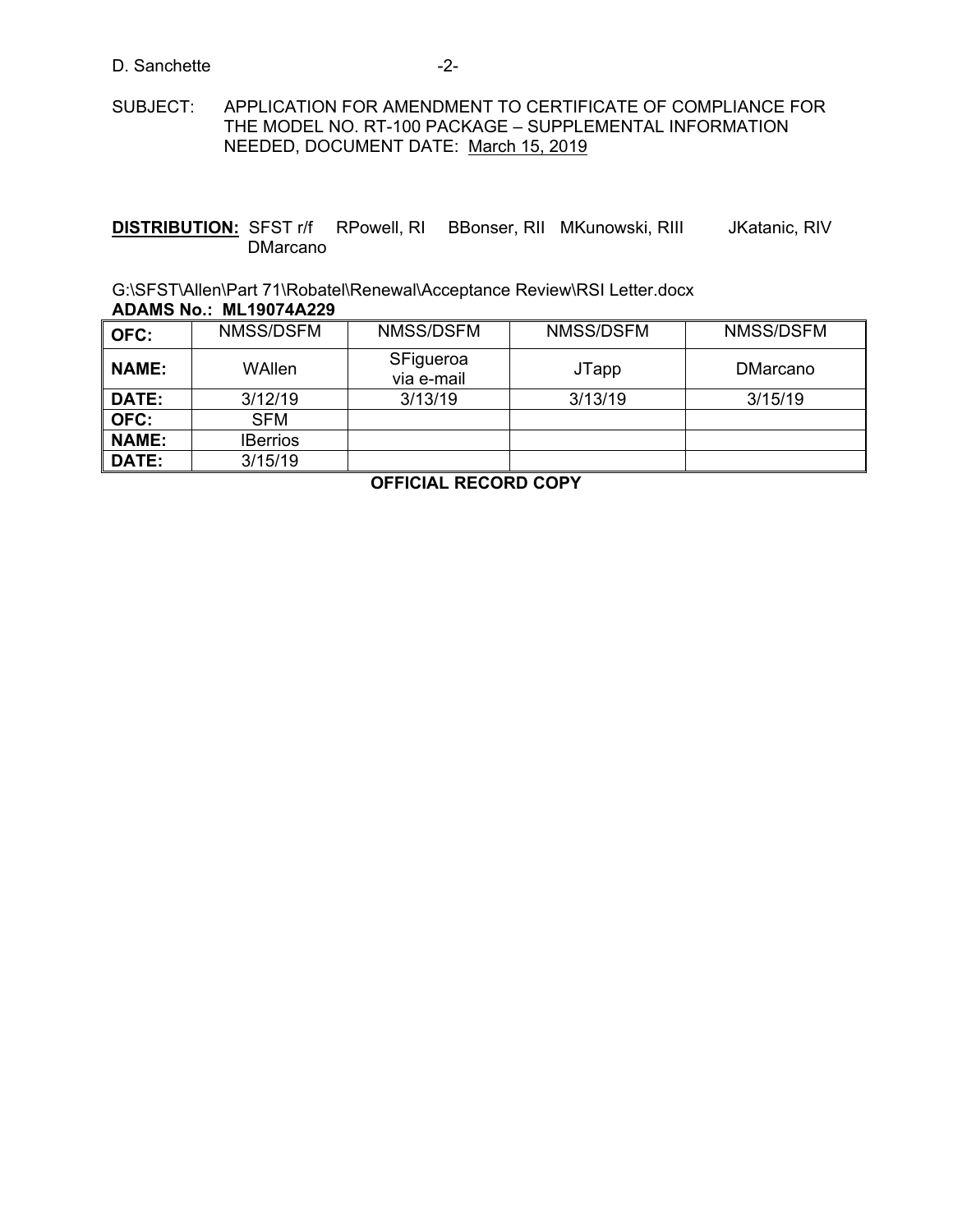#### D. Sanchette -2-

# SUBJECT: APPLICATION FOR AMENDMENT TO CERTIFICATE OF COMPLIANCE FOR THE MODEL NO. RT-100 PACKAGE – SUPPLEMENTAL INFORMATION NEEDED, DOCUMENT DATE: March 15, 2019

**DISTRIBUTION:** SFST r/f RPowell, RI BBonser, RII MKunowski, RIII JKatanic, RIV DMarcano

G:\SFST\Allen\Part 71\Robatel\Renewal\Acceptance Review\RSI Letter.docx **ADAMS No.: ML19074A229**

| OFC:         | NMSS/DSFM       | NMSS/DSFM               | NMSS/DSFM | NMSS/DSFM |
|--------------|-----------------|-------------------------|-----------|-----------|
| <b>NAME:</b> | WAllen          | SFigueroa<br>via e-mail | JTapp     | DMarcano  |
| DATE:        | 3/12/19         | 3/13/19                 | 3/13/19   | 3/15/19   |
| OFC:         | <b>SFM</b>      |                         |           |           |
| <b>NAME:</b> | <b>IBerrios</b> |                         |           |           |
| DATE:        | 3/15/19         |                         |           |           |

**OFFICIAL RECORD COPY**